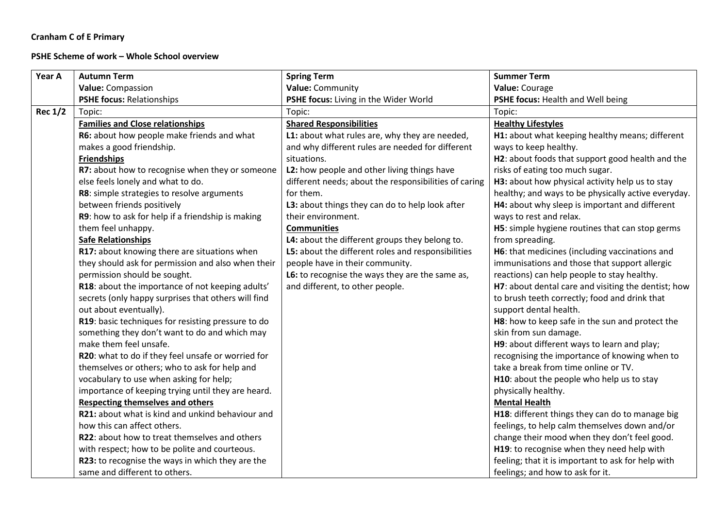## **Cranham C of E Primary**

## **PSHE Scheme of work – Whole School overview**

| Year A         | <b>Autumn Term</b>                                  | <b>Spring Term</b>                                    | <b>Summer Term</b>                                  |
|----------------|-----------------------------------------------------|-------------------------------------------------------|-----------------------------------------------------|
|                | Value: Compassion                                   | Value: Community                                      | Value: Courage                                      |
|                | <b>PSHE focus: Relationships</b>                    | PSHE focus: Living in the Wider World                 | PSHE focus: Health and Well being                   |
| <b>Rec 1/2</b> | Topic:                                              | Topic:                                                | Topic:                                              |
|                | <b>Families and Close relationships</b>             | <b>Shared Responsibilities</b>                        | <b>Healthy Lifestyles</b>                           |
|                | R6: about how people make friends and what          | L1: about what rules are, why they are needed,        | H1: about what keeping healthy means; different     |
|                | makes a good friendship.                            | and why different rules are needed for different      | ways to keep healthy.                               |
|                | <b>Friendships</b>                                  | situations.                                           | H2: about foods that support good health and the    |
|                | R7: about how to recognise when they or someone     | L2: how people and other living things have           | risks of eating too much sugar.                     |
|                | else feels lonely and what to do.                   | different needs; about the responsibilities of caring | H3: about how physical activity help us to stay     |
|                | R8: simple strategies to resolve arguments          | for them.                                             | healthy; and ways to be physically active everyday. |
|                | between friends positively                          | L3: about things they can do to help look after       | H4: about why sleep is important and different      |
|                | R9: how to ask for help if a friendship is making   | their environment.                                    | ways to rest and relax.                             |
|                | them feel unhappy.                                  | <b>Communities</b>                                    | H5: simple hygiene routines that can stop germs     |
|                | <b>Safe Relationships</b>                           | L4: about the different groups they belong to.        | from spreading.                                     |
|                | R17: about knowing there are situations when        | L5: about the different roles and responsibilities    | H6: that medicines (including vaccinations and      |
|                | they should ask for permission and also when their  | people have in their community.                       | immunisations and those that support allergic       |
|                | permission should be sought.                        | L6: to recognise the ways they are the same as,       | reactions) can help people to stay healthy.         |
|                | R18: about the importance of not keeping adults'    | and different, to other people.                       | H7: about dental care and visiting the dentist; how |
|                | secrets (only happy surprises that others will find |                                                       | to brush teeth correctly; food and drink that       |
|                | out about eventually).                              |                                                       | support dental health.                              |
|                | R19: basic techniques for resisting pressure to do  |                                                       | H8: how to keep safe in the sun and protect the     |
|                | something they don't want to do and which may       |                                                       | skin from sun damage.                               |
|                | make them feel unsafe.                              |                                                       | H9: about different ways to learn and play;         |
|                | R20: what to do if they feel unsafe or worried for  |                                                       | recognising the importance of knowing when to       |
|                | themselves or others; who to ask for help and       |                                                       | take a break from time online or TV.                |
|                | vocabulary to use when asking for help;             |                                                       | H10: about the people who help us to stay           |
|                | importance of keeping trying until they are heard.  |                                                       | physically healthy.                                 |
|                | <b>Respecting themselves and others</b>             |                                                       | <b>Mental Health</b>                                |
|                | R21: about what is kind and unkind behaviour and    |                                                       | H18: different things they can do to manage big     |
|                | how this can affect others.                         |                                                       | feelings, to help calm themselves down and/or       |
|                | R22: about how to treat themselves and others       |                                                       | change their mood when they don't feel good.        |
|                | with respect; how to be polite and courteous.       |                                                       | H19: to recognise when they need help with          |
|                | R23: to recognise the ways in which they are the    |                                                       | feeling; that it is important to ask for help with  |
|                | same and different to others.                       |                                                       | feelings; and how to ask for it.                    |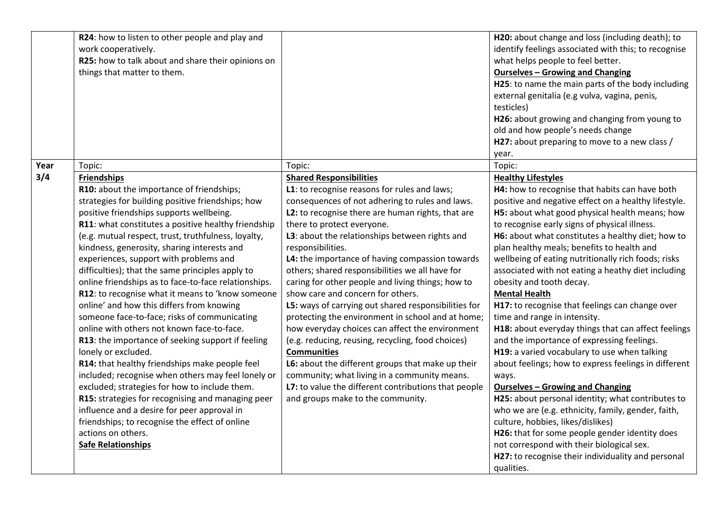|      | R24: how to listen to other people and play and<br>work cooperatively.<br>R25: how to talk about and share their opinions on<br>things that matter to them.                                                                                                                                                                                                                                                                                                                                                                                                                                                                                                                                                                                                                                                                                                                                                                                                                                                                                                                                                                      |                                                                                                                                                                                                                                                                                                                                                                                                                                                                                                                                                                                                                                                                                                                                                                                                                                                                                                                                          | H20: about change and loss (including death); to<br>identify feelings associated with this; to recognise<br>what helps people to feel better.<br><b>Ourselves - Growing and Changing</b><br>H25: to name the main parts of the body including<br>external genitalia (e.g vulva, vagina, penis,<br>testicles)<br>H26: about growing and changing from young to<br>old and how people's needs change<br>H27: about preparing to move to a new class /<br>year.                                                                                                                                                                                                                                                                                                                                                                                                                                                                                                                                                                                                                                                                                                                      |
|------|----------------------------------------------------------------------------------------------------------------------------------------------------------------------------------------------------------------------------------------------------------------------------------------------------------------------------------------------------------------------------------------------------------------------------------------------------------------------------------------------------------------------------------------------------------------------------------------------------------------------------------------------------------------------------------------------------------------------------------------------------------------------------------------------------------------------------------------------------------------------------------------------------------------------------------------------------------------------------------------------------------------------------------------------------------------------------------------------------------------------------------|------------------------------------------------------------------------------------------------------------------------------------------------------------------------------------------------------------------------------------------------------------------------------------------------------------------------------------------------------------------------------------------------------------------------------------------------------------------------------------------------------------------------------------------------------------------------------------------------------------------------------------------------------------------------------------------------------------------------------------------------------------------------------------------------------------------------------------------------------------------------------------------------------------------------------------------|-----------------------------------------------------------------------------------------------------------------------------------------------------------------------------------------------------------------------------------------------------------------------------------------------------------------------------------------------------------------------------------------------------------------------------------------------------------------------------------------------------------------------------------------------------------------------------------------------------------------------------------------------------------------------------------------------------------------------------------------------------------------------------------------------------------------------------------------------------------------------------------------------------------------------------------------------------------------------------------------------------------------------------------------------------------------------------------------------------------------------------------------------------------------------------------|
| Year | Topic:                                                                                                                                                                                                                                                                                                                                                                                                                                                                                                                                                                                                                                                                                                                                                                                                                                                                                                                                                                                                                                                                                                                           | Topic:                                                                                                                                                                                                                                                                                                                                                                                                                                                                                                                                                                                                                                                                                                                                                                                                                                                                                                                                   | Topic:                                                                                                                                                                                                                                                                                                                                                                                                                                                                                                                                                                                                                                                                                                                                                                                                                                                                                                                                                                                                                                                                                                                                                                            |
| 3/4  | <b>Friendships</b><br>R10: about the importance of friendships;<br>strategies for building positive friendships; how<br>positive friendships supports wellbeing.<br>R11: what constitutes a positive healthy friendship<br>(e.g. mutual respect, trust, truthfulness, loyalty,<br>kindness, generosity, sharing interests and<br>experiences, support with problems and<br>difficulties); that the same principles apply to<br>online friendships as to face-to-face relationships.<br>R12: to recognise what it means to 'know someone<br>online' and how this differs from knowing<br>someone face-to-face; risks of communicating<br>online with others not known face-to-face.<br>R13: the importance of seeking support if feeling<br>lonely or excluded.<br>R14: that healthy friendships make people feel<br>included; recognise when others may feel lonely or<br>excluded; strategies for how to include them.<br>R15: strategies for recognising and managing peer<br>influence and a desire for peer approval in<br>friendships; to recognise the effect of online<br>actions on others.<br><b>Safe Relationships</b> | <b>Shared Responsibilities</b><br>L1: to recognise reasons for rules and laws;<br>consequences of not adhering to rules and laws.<br>L2: to recognise there are human rights, that are<br>there to protect everyone.<br>L3: about the relationships between rights and<br>responsibilities.<br>L4: the importance of having compassion towards<br>others; shared responsibilities we all have for<br>caring for other people and living things; how to<br>show care and concern for others.<br>L5: ways of carrying out shared responsibilities for<br>protecting the environment in school and at home;<br>how everyday choices can affect the environment<br>(e.g. reducing, reusing, recycling, food choices)<br><b>Communities</b><br>L6: about the different groups that make up their<br>community; what living in a community means.<br>L7: to value the different contributions that people<br>and groups make to the community. | <b>Healthy Lifestyles</b><br>H4: how to recognise that habits can have both<br>positive and negative effect on a healthy lifestyle.<br>H5: about what good physical health means; how<br>to recognise early signs of physical illness.<br>H6: about what constitutes a healthy diet; how to<br>plan healthy meals; benefits to health and<br>wellbeing of eating nutritionally rich foods; risks<br>associated with not eating a heathy diet including<br>obesity and tooth decay.<br><b>Mental Health</b><br>H17: to recognise that feelings can change over<br>time and range in intensity.<br>H18: about everyday things that can affect feelings<br>and the importance of expressing feelings.<br>H19: a varied vocabulary to use when talking<br>about feelings; how to express feelings in different<br>ways.<br><b>Ourselves - Growing and Changing</b><br>H25: about personal identity; what contributes to<br>who we are (e.g. ethnicity, family, gender, faith,<br>culture, hobbies, likes/dislikes)<br>H26: that for some people gender identity does<br>not correspond with their biological sex.<br>H27: to recognise their individuality and personal<br>qualities. |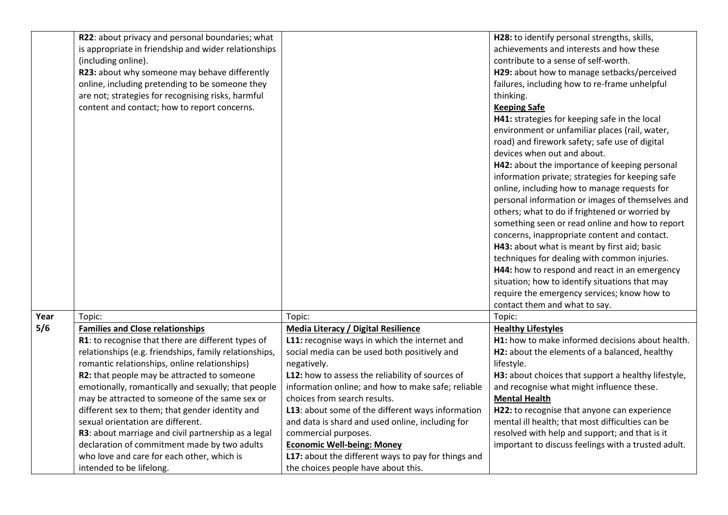|      | R22: about privacy and personal boundaries; what       |                                                     | H28: to identify personal strengths, skills,        |
|------|--------------------------------------------------------|-----------------------------------------------------|-----------------------------------------------------|
|      | is appropriate in friendship and wider relationships   |                                                     | achievements and interests and how these            |
|      | (including online).                                    |                                                     | contribute to a sense of self-worth.                |
|      | R23: about why someone may behave differently          |                                                     | H29: about how to manage setbacks/perceived         |
|      | online, including pretending to be someone they        |                                                     | failures, including how to re-frame unhelpful       |
|      | are not; strategies for recognising risks, harmful     |                                                     | thinking.                                           |
|      | content and contact; how to report concerns.           |                                                     | <b>Keeping Safe</b>                                 |
|      |                                                        |                                                     | H41: strategies for keeping safe in the local       |
|      |                                                        |                                                     | environment or unfamiliar places (rail, water,      |
|      |                                                        |                                                     | road) and firework safety; safe use of digital      |
|      |                                                        |                                                     | devices when out and about.                         |
|      |                                                        |                                                     | H42: about the importance of keeping personal       |
|      |                                                        |                                                     | information private; strategies for keeping safe    |
|      |                                                        |                                                     | online, including how to manage requests for        |
|      |                                                        |                                                     | personal information or images of themselves and    |
|      |                                                        |                                                     | others; what to do if frightened or worried by      |
|      |                                                        |                                                     | something seen or read online and how to report     |
|      |                                                        |                                                     | concerns, inappropriate content and contact.        |
|      |                                                        |                                                     | H43: about what is meant by first aid; basic        |
|      |                                                        |                                                     | techniques for dealing with common injuries.        |
|      |                                                        |                                                     | H44: how to respond and react in an emergency       |
|      |                                                        |                                                     | situation; how to identify situations that may      |
|      |                                                        |                                                     | require the emergency services; know how to         |
|      |                                                        |                                                     | contact them and what to say.                       |
| Year | Topic:                                                 | Topic:                                              | Topic:                                              |
| 5/6  | <b>Families and Close relationships</b>                | <b>Media Literacy / Digital Resilience</b>          | <b>Healthy Lifestyles</b>                           |
|      | R1: to recognise that there are different types of     | L11: recognise ways in which the internet and       | H1: how to make informed decisions about health.    |
|      | relationships (e.g. friendships, family relationships, | social media can be used both positively and        | H2: about the elements of a balanced, healthy       |
|      | romantic relationships, online relationships)          | negatively.                                         | lifestyle.                                          |
|      | R2: that people may be attracted to someone            | L12: how to assess the reliability of sources of    | H3: about choices that support a healthy lifestyle, |
|      | emotionally, romantically and sexually; that people    | information online; and how to make safe; reliable  | and recognise what might influence these.           |
|      | may be attracted to someone of the same sex or         | choices from search results.                        | <b>Mental Health</b>                                |
|      | different sex to them; that gender identity and        | L13: about some of the different ways information   | H22: to recognise that anyone can experience        |
|      | sexual orientation are different.                      | and data is shard and used online, including for    | mental ill health; that most difficulties can be    |
|      | R3: about marriage and civil partnership as a legal    | commercial purposes.                                | resolved with help and support; and that is it      |
|      | declaration of commitment made by two adults           | <b>Economic Well-being: Money</b>                   | important to discuss feelings with a trusted adult. |
|      | who love and care for each other, which is             | L17: about the different ways to pay for things and |                                                     |
|      | intended to be lifelong.                               | the choices people have about this.                 |                                                     |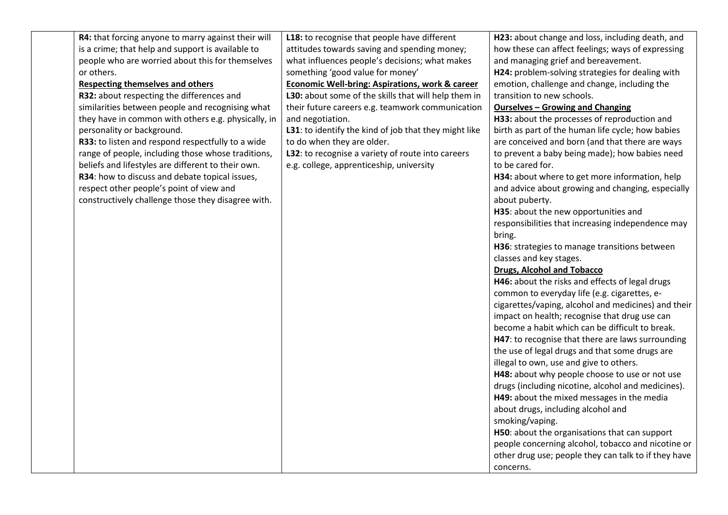| R4: that forcing anyone to marry against their will | L18: to recognise that people have different               | H23: about change and loss, including death, and     |
|-----------------------------------------------------|------------------------------------------------------------|------------------------------------------------------|
| is a crime; that help and support is available to   | attitudes towards saving and spending money;               | how these can affect feelings; ways of expressing    |
| people who are worried about this for themselves    | what influences people's decisions; what makes             | and managing grief and bereavement.                  |
| or others.                                          | something 'good value for money'                           | H24: problem-solving strategies for dealing with     |
| <b>Respecting themselves and others</b>             | <b>Economic Well-bring: Aspirations, work &amp; career</b> | emotion, challenge and change, including the         |
| R32: about respecting the differences and           | L30: about some of the skills that will help them in       | transition to new schools.                           |
| similarities between people and recognising what    | their future careers e.g. teamwork communication           | <b>Ourselves - Growing and Changing</b>              |
| they have in common with others e.g. physically, in | and negotiation.                                           | H33: about the processes of reproduction and         |
| personality or background.                          | L31: to identify the kind of job that they might like      | birth as part of the human life cycle; how babies    |
| R33: to listen and respond respectfully to a wide   | to do when they are older.                                 | are conceived and born (and that there are ways      |
| range of people, including those whose traditions,  | L32: to recognise a variety of route into careers          | to prevent a baby being made); how babies need       |
| beliefs and lifestyles are different to their own.  | e.g. college, apprenticeship, university                   | to be cared for.                                     |
| R34: how to discuss and debate topical issues,      |                                                            | H34: about where to get more information, help       |
| respect other people's point of view and            |                                                            | and advice about growing and changing, especially    |
| constructively challenge those they disagree with.  |                                                            | about puberty.                                       |
|                                                     |                                                            | H35: about the new opportunities and                 |
|                                                     |                                                            | responsibilities that increasing independence may    |
|                                                     |                                                            | bring.                                               |
|                                                     |                                                            | H36: strategies to manage transitions between        |
|                                                     |                                                            | classes and key stages.                              |
|                                                     |                                                            | <b>Drugs, Alcohol and Tobacco</b>                    |
|                                                     |                                                            | H46: about the risks and effects of legal drugs      |
|                                                     |                                                            | common to everyday life (e.g. cigarettes, e-         |
|                                                     |                                                            | cigarettes/vaping, alcohol and medicines) and their  |
|                                                     |                                                            | impact on health; recognise that drug use can        |
|                                                     |                                                            | become a habit which can be difficult to break.      |
|                                                     |                                                            | H47: to recognise that there are laws surrounding    |
|                                                     |                                                            | the use of legal drugs and that some drugs are       |
|                                                     |                                                            | illegal to own, use and give to others.              |
|                                                     |                                                            | H48: about why people choose to use or not use       |
|                                                     |                                                            | drugs (including nicotine, alcohol and medicines).   |
|                                                     |                                                            | H49: about the mixed messages in the media           |
|                                                     |                                                            | about drugs, including alcohol and                   |
|                                                     |                                                            | smoking/vaping.                                      |
|                                                     |                                                            | H50: about the organisations that can support        |
|                                                     |                                                            | people concerning alcohol, tobacco and nicotine or   |
|                                                     |                                                            | other drug use; people they can talk to if they have |
|                                                     |                                                            | concerns.                                            |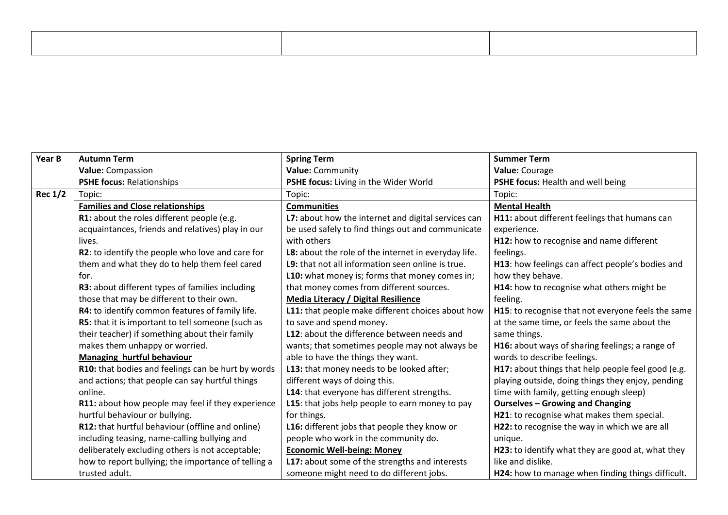| Year B         | <b>Autumn Term</b>                                  | <b>Spring Term</b>                                   | <b>Summer Term</b>                                 |
|----------------|-----------------------------------------------------|------------------------------------------------------|----------------------------------------------------|
|                | Value: Compassion                                   | Value: Community                                     | Value: Courage                                     |
|                | <b>PSHE focus: Relationships</b>                    | PSHE focus: Living in the Wider World                | PSHE focus: Health and well being                  |
| <b>Rec 1/2</b> | Topic:                                              | Topic:                                               | Topic:                                             |
|                | <b>Families and Close relationships</b>             | <b>Communities</b>                                   | <b>Mental Health</b>                               |
|                | R1: about the roles different people (e.g.          | L7: about how the internet and digital services can  | H11: about different feelings that humans can      |
|                | acquaintances, friends and relatives) play in our   | be used safely to find things out and communicate    | experience.                                        |
|                | lives.                                              | with others                                          | H12: how to recognise and name different           |
|                | R2: to identify the people who love and care for    | L8: about the role of the internet in everyday life. | feelings.                                          |
|                | them and what they do to help them feel cared       | L9: that not all information seen online is true.    | H13: how feelings can affect people's bodies and   |
|                | for.                                                | L10: what money is; forms that money comes in;       | how they behave.                                   |
|                | R3: about different types of families including     | that money comes from different sources.             | H14: how to recognise what others might be         |
|                | those that may be different to their own.           | <b>Media Literacy / Digital Resilience</b>           | feeling.                                           |
|                | R4: to identify common features of family life.     | L11: that people make different choices about how    | H15: to recognise that not everyone feels the same |
|                | R5: that it is important to tell someone (such as   | to save and spend money.                             | at the same time, or feels the same about the      |
|                | their teacher) if something about their family      | L12: about the difference between needs and          | same things.                                       |
|                | makes them unhappy or worried.                      | wants; that sometimes people may not always be       | H16: about ways of sharing feelings; a range of    |
|                | Managing hurtful behaviour                          | able to have the things they want.                   | words to describe feelings.                        |
|                | R10: that bodies and feelings can be hurt by words  | L13: that money needs to be looked after;            | H17: about things that help people feel good (e.g. |
|                | and actions; that people can say hurtful things     | different ways of doing this.                        | playing outside, doing things they enjoy, pending  |
|                | online.                                             | L14: that everyone has different strengths.          | time with family, getting enough sleep)            |
|                | R11: about how people may feel if they experience   | L15: that jobs help people to earn money to pay      | <b>Ourselves - Growing and Changing</b>            |
|                | hurtful behaviour or bullying.                      | for things.                                          | H21: to recognise what makes them special.         |
|                | R12: that hurtful behaviour (offline and online)    | L16: different jobs that people they know or         | H22: to recognise the way in which we are all      |
|                | including teasing, name-calling bullying and        | people who work in the community do.                 | unique.                                            |
|                | deliberately excluding others is not acceptable;    | <b>Economic Well-being: Money</b>                    | H23: to identify what they are good at, what they  |
|                | how to report bullying; the importance of telling a | L17: about some of the strengths and interests       | like and dislike.                                  |
|                | trusted adult.                                      | someone might need to do different jobs.             | H24: how to manage when finding things difficult.  |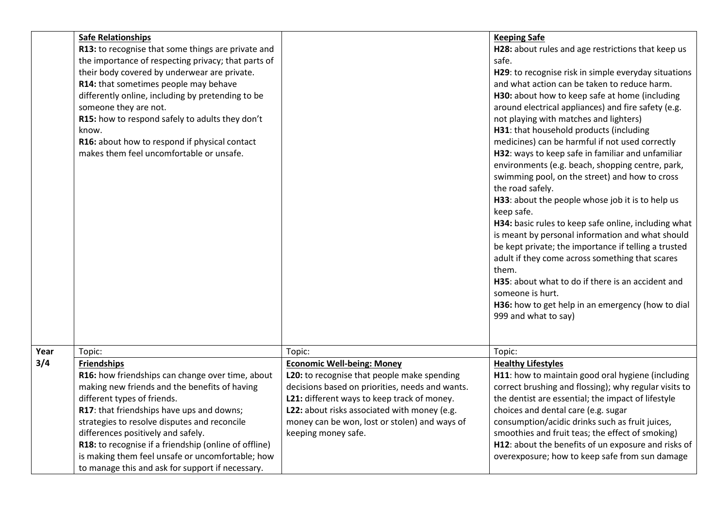|      | <b>Safe Relationships</b><br>R13: to recognise that some things are private and<br>the importance of respecting privacy; that parts of<br>their body covered by underwear are private.<br>R14: that sometimes people may behave<br>differently online, including by pretending to be<br>someone they are not.<br>R15: how to respond safely to adults they don't<br>know.<br>R16: about how to respond if physical contact<br>makes them feel uncomfortable or unsafe. |                                                                                               | <b>Keeping Safe</b><br>H28: about rules and age restrictions that keep us<br>safe.<br>H29: to recognise risk in simple everyday situations<br>and what action can be taken to reduce harm.<br>H30: about how to keep safe at home (including<br>around electrical appliances) and fire safety (e.g.<br>not playing with matches and lighters)<br>H31: that household products (including<br>medicines) can be harmful if not used correctly<br>H32: ways to keep safe in familiar and unfamiliar<br>environments (e.g. beach, shopping centre, park,<br>swimming pool, on the street) and how to cross<br>the road safely.<br>H33: about the people whose job it is to help us<br>keep safe.<br>H34: basic rules to keep safe online, including what<br>is meant by personal information and what should<br>be kept private; the importance if telling a trusted<br>adult if they come across something that scares<br>them.<br>H35: about what to do if there is an accident and<br>someone is hurt.<br>H36: how to get help in an emergency (how to dial<br>999 and what to say) |
|------|------------------------------------------------------------------------------------------------------------------------------------------------------------------------------------------------------------------------------------------------------------------------------------------------------------------------------------------------------------------------------------------------------------------------------------------------------------------------|-----------------------------------------------------------------------------------------------|------------------------------------------------------------------------------------------------------------------------------------------------------------------------------------------------------------------------------------------------------------------------------------------------------------------------------------------------------------------------------------------------------------------------------------------------------------------------------------------------------------------------------------------------------------------------------------------------------------------------------------------------------------------------------------------------------------------------------------------------------------------------------------------------------------------------------------------------------------------------------------------------------------------------------------------------------------------------------------------------------------------------------------------------------------------------------------|
| Year | Topic:                                                                                                                                                                                                                                                                                                                                                                                                                                                                 | Topic:                                                                                        | Topic:                                                                                                                                                                                                                                                                                                                                                                                                                                                                                                                                                                                                                                                                                                                                                                                                                                                                                                                                                                                                                                                                             |
| 3/4  | <b>Friendships</b>                                                                                                                                                                                                                                                                                                                                                                                                                                                     | <b>Economic Well-being: Money</b>                                                             | <b>Healthy Lifestyles</b>                                                                                                                                                                                                                                                                                                                                                                                                                                                                                                                                                                                                                                                                                                                                                                                                                                                                                                                                                                                                                                                          |
|      | R16: how friendships can change over time, about                                                                                                                                                                                                                                                                                                                                                                                                                       | L20: to recognise that people make spending                                                   | H11: how to maintain good oral hygiene (including                                                                                                                                                                                                                                                                                                                                                                                                                                                                                                                                                                                                                                                                                                                                                                                                                                                                                                                                                                                                                                  |
|      | making new friends and the benefits of having                                                                                                                                                                                                                                                                                                                                                                                                                          | decisions based on priorities, needs and wants.                                               | correct brushing and flossing); why regular visits to                                                                                                                                                                                                                                                                                                                                                                                                                                                                                                                                                                                                                                                                                                                                                                                                                                                                                                                                                                                                                              |
|      | different types of friends.                                                                                                                                                                                                                                                                                                                                                                                                                                            | L21: different ways to keep track of money.                                                   | the dentist are essential; the impact of lifestyle                                                                                                                                                                                                                                                                                                                                                                                                                                                                                                                                                                                                                                                                                                                                                                                                                                                                                                                                                                                                                                 |
|      | R17: that friendships have ups and downs;<br>strategies to resolve disputes and reconcile                                                                                                                                                                                                                                                                                                                                                                              | L22: about risks associated with money (e.g.<br>money can be won, lost or stolen) and ways of | choices and dental care (e.g. sugar<br>consumption/acidic drinks such as fruit juices,                                                                                                                                                                                                                                                                                                                                                                                                                                                                                                                                                                                                                                                                                                                                                                                                                                                                                                                                                                                             |
|      | differences positively and safely.                                                                                                                                                                                                                                                                                                                                                                                                                                     | keeping money safe.                                                                           | smoothies and fruit teas; the effect of smoking)                                                                                                                                                                                                                                                                                                                                                                                                                                                                                                                                                                                                                                                                                                                                                                                                                                                                                                                                                                                                                                   |
|      | R18: to recognise if a friendship (online of offline)                                                                                                                                                                                                                                                                                                                                                                                                                  |                                                                                               | H12: about the benefits of un exposure and risks of                                                                                                                                                                                                                                                                                                                                                                                                                                                                                                                                                                                                                                                                                                                                                                                                                                                                                                                                                                                                                                |
|      | is making them feel unsafe or uncomfortable; how                                                                                                                                                                                                                                                                                                                                                                                                                       |                                                                                               | overexposure; how to keep safe from sun damage                                                                                                                                                                                                                                                                                                                                                                                                                                                                                                                                                                                                                                                                                                                                                                                                                                                                                                                                                                                                                                     |
|      | to manage this and ask for support if necessary.                                                                                                                                                                                                                                                                                                                                                                                                                       |                                                                                               |                                                                                                                                                                                                                                                                                                                                                                                                                                                                                                                                                                                                                                                                                                                                                                                                                                                                                                                                                                                                                                                                                    |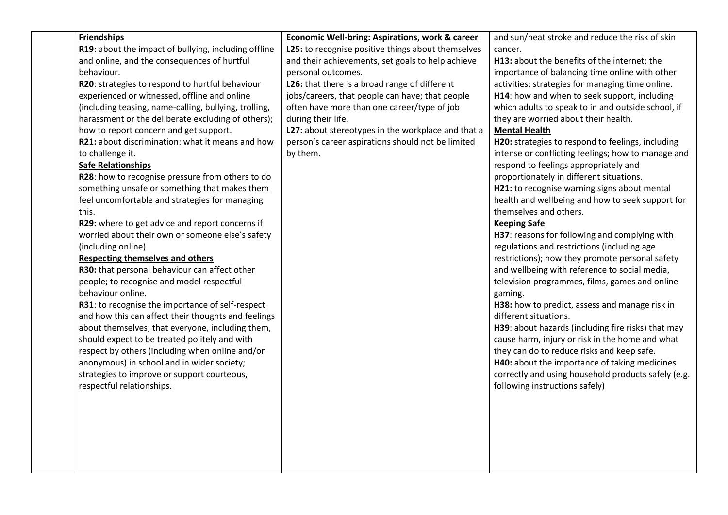| <b>Friendships</b><br><b>Economic Well-bring: Aspirations, work &amp; career</b><br>and sun/heat stroke and reduce the risk of skin<br>R19: about the impact of bullying, including offline<br>L25: to recognise positive things about themselves<br>cancer.<br>and online, and the consequences of hurtful<br>and their achievements, set goals to help achieve<br>H13: about the benefits of the internet; the<br>behaviour.<br>personal outcomes.<br>importance of balancing time online with other<br>L26: that there is a broad range of different<br>activities; strategies for managing time online.<br>R20: strategies to respond to hurtful behaviour<br>jobs/careers, that people can have; that people<br>experienced or witnessed, offline and online<br>H14: how and when to seek support, including<br>often have more than one career/type of job<br>(including teasing, name-calling, bullying, trolling,<br>which adults to speak to in and outside school, if<br>harassment or the deliberate excluding of others);<br>during their life.<br>they are worried about their health.<br>how to report concern and get support.<br>L27: about stereotypes in the workplace and that a<br><b>Mental Health</b><br>R21: about discrimination: what it means and how<br>person's career aspirations should not be limited<br>H20: strategies to respond to feelings, including<br>by them.<br>intense or conflicting feelings; how to manage and<br>to challenge it.<br><b>Safe Relationships</b><br>respond to feelings appropriately and<br>R28: how to recognise pressure from others to do<br>proportionately in different situations.<br>something unsafe or something that makes them<br>H21: to recognise warning signs about mental<br>feel uncomfortable and strategies for managing<br>health and wellbeing and how to seek support for<br>themselves and others.<br>this.<br>R29: where to get advice and report concerns if<br><b>Keeping Safe</b><br>worried about their own or someone else's safety<br>H37: reasons for following and complying with<br>(including online)<br>regulations and restrictions (including age<br><b>Respecting themselves and others</b><br>restrictions); how they promote personal safety<br>R30: that personal behaviour can affect other<br>and wellbeing with reference to social media,<br>people; to recognise and model respectful<br>television programmes, films, games and online<br>behaviour online.<br>gaming.<br>R31: to recognise the importance of self-respect<br>H38: how to predict, assess and manage risk in<br>and how this can affect their thoughts and feelings<br>different situations.<br>about themselves; that everyone, including them,<br>H39: about hazards (including fire risks) that may<br>should expect to be treated politely and with<br>cause harm, injury or risk in the home and what<br>respect by others (including when online and/or<br>they can do to reduce risks and keep safe.<br>anonymous) in school and in wider society;<br>H40: about the importance of taking medicines<br>correctly and using household products safely (e.g.<br>strategies to improve or support courteous,<br>respectful relationships.<br>following instructions safely) |  |  |  |
|-------------------------------------------------------------------------------------------------------------------------------------------------------------------------------------------------------------------------------------------------------------------------------------------------------------------------------------------------------------------------------------------------------------------------------------------------------------------------------------------------------------------------------------------------------------------------------------------------------------------------------------------------------------------------------------------------------------------------------------------------------------------------------------------------------------------------------------------------------------------------------------------------------------------------------------------------------------------------------------------------------------------------------------------------------------------------------------------------------------------------------------------------------------------------------------------------------------------------------------------------------------------------------------------------------------------------------------------------------------------------------------------------------------------------------------------------------------------------------------------------------------------------------------------------------------------------------------------------------------------------------------------------------------------------------------------------------------------------------------------------------------------------------------------------------------------------------------------------------------------------------------------------------------------------------------------------------------------------------------------------------------------------------------------------------------------------------------------------------------------------------------------------------------------------------------------------------------------------------------------------------------------------------------------------------------------------------------------------------------------------------------------------------------------------------------------------------------------------------------------------------------------------------------------------------------------------------------------------------------------------------------------------------------------------------------------------------------------------------------------------------------------------------------------------------------------------------------------------------------------------------------------------------------------------------------------------------------------------------------------------------------------------------------------------------------------------------------------------------------------------------------------------------------------------------------------------------------------------------------------------------------|--|--|--|
|                                                                                                                                                                                                                                                                                                                                                                                                                                                                                                                                                                                                                                                                                                                                                                                                                                                                                                                                                                                                                                                                                                                                                                                                                                                                                                                                                                                                                                                                                                                                                                                                                                                                                                                                                                                                                                                                                                                                                                                                                                                                                                                                                                                                                                                                                                                                                                                                                                                                                                                                                                                                                                                                                                                                                                                                                                                                                                                                                                                                                                                                                                                                                                                                                                                             |  |  |  |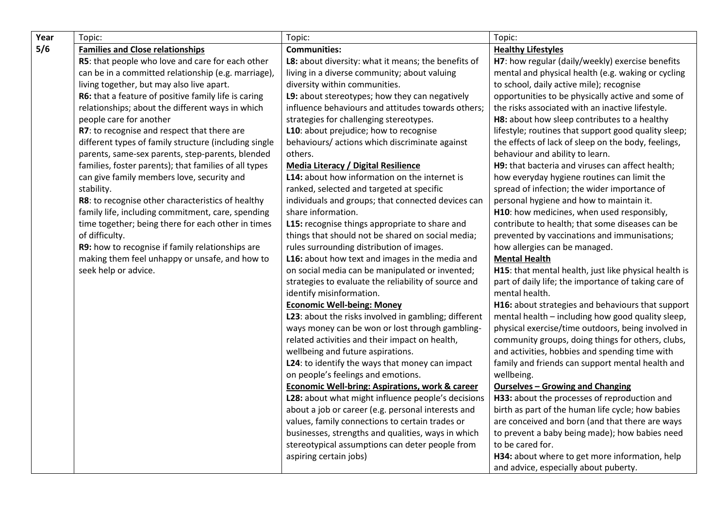| Year | Topic:                                                | Topic:                                                     | Topic:                                                |
|------|-------------------------------------------------------|------------------------------------------------------------|-------------------------------------------------------|
| 5/6  | <b>Families and Close relationships</b>               | <b>Communities:</b>                                        | <b>Healthy Lifestyles</b>                             |
|      | R5: that people who love and care for each other      | L8: about diversity: what it means; the benefits of        | H7: how regular (daily/weekly) exercise benefits      |
|      | can be in a committed relationship (e.g. marriage),   | living in a diverse community; about valuing               | mental and physical health (e.g. waking or cycling    |
|      | living together, but may also live apart.             | diversity within communities.                              | to school, daily active mile); recognise              |
|      | R6: that a feature of positive family life is caring  | L9: about stereotypes; how they can negatively             | opportunities to be physically active and some of     |
|      | relationships; about the different ways in which      | influence behaviours and attitudes towards others;         | the risks associated with an inactive lifestyle.      |
|      | people care for another                               | strategies for challenging stereotypes.                    | H8: about how sleep contributes to a healthy          |
|      | R7: to recognise and respect that there are           | L10: about prejudice; how to recognise                     | lifestyle; routines that support good quality sleep;  |
|      | different types of family structure (including single | behaviours/ actions which discriminate against             | the effects of lack of sleep on the body, feelings,   |
|      | parents, same-sex parents, step-parents, blended      | others.                                                    | behaviour and ability to learn.                       |
|      | families, foster parents); that families of all types | Media Literacy / Digital Resilience                        | H9: that bacteria and viruses can affect health;      |
|      | can give family members love, security and            | L14: about how information on the internet is              | how everyday hygiene routines can limit the           |
|      | stability.                                            | ranked, selected and targeted at specific                  | spread of infection; the wider importance of          |
|      | R8: to recognise other characteristics of healthy     | individuals and groups; that connected devices can         | personal hygiene and how to maintain it.              |
|      | family life, including commitment, care, spending     | share information.                                         | H10: how medicines, when used responsibly,            |
|      | time together; being there for each other in times    | L15: recognise things appropriate to share and             | contribute to health; that some diseases can be       |
|      | of difficulty.                                        | things that should not be shared on social media;          | prevented by vaccinations and immunisations;          |
|      | R9: how to recognise if family relationships are      | rules surrounding distribution of images.                  | how allergies can be managed.                         |
|      | making them feel unhappy or unsafe, and how to        | L16: about how text and images in the media and            | <b>Mental Health</b>                                  |
|      | seek help or advice.                                  | on social media can be manipulated or invented;            | H15: that mental health, just like physical health is |
|      |                                                       | strategies to evaluate the reliability of source and       | part of daily life; the importance of taking care of  |
|      |                                                       | identify misinformation.                                   | mental health.                                        |
|      |                                                       | <b>Economic Well-being: Money</b>                          | H16: about strategies and behaviours that support     |
|      |                                                       | L23: about the risks involved in gambling; different       | mental health - including how good quality sleep,     |
|      |                                                       | ways money can be won or lost through gambling-            | physical exercise/time outdoors, being involved in    |
|      |                                                       | related activities and their impact on health,             | community groups, doing things for others, clubs,     |
|      |                                                       | wellbeing and future aspirations.                          | and activities, hobbies and spending time with        |
|      |                                                       | L24: to identify the ways that money can impact            | family and friends can support mental health and      |
|      |                                                       | on people's feelings and emotions.                         | wellbeing.                                            |
|      |                                                       | <b>Economic Well-bring: Aspirations, work &amp; career</b> | <b>Ourselves - Growing and Changing</b>               |
|      |                                                       | L28: about what might influence people's decisions         | H33: about the processes of reproduction and          |
|      |                                                       | about a job or career (e.g. personal interests and         | birth as part of the human life cycle; how babies     |
|      |                                                       | values, family connections to certain trades or            | are conceived and born (and that there are ways       |
|      |                                                       | businesses, strengths and qualities, ways in which         | to prevent a baby being made); how babies need        |
|      |                                                       | stereotypical assumptions can deter people from            | to be cared for.                                      |
|      |                                                       | aspiring certain jobs)                                     | H34: about where to get more information, help        |
|      |                                                       |                                                            | and advice, especially about puberty.                 |